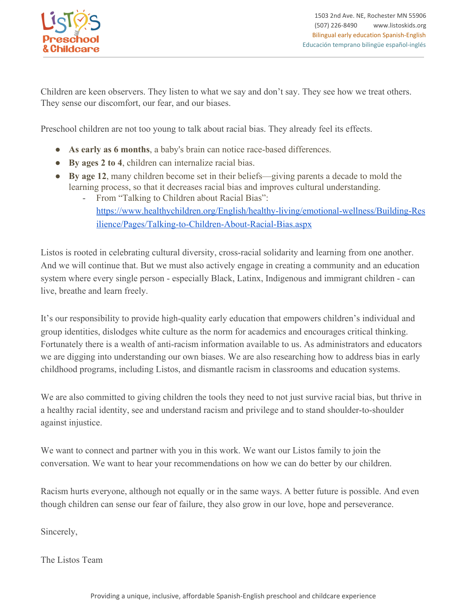

Children are keen observers. They listen to what we say and don't say. They see how we treat others. They sense our discomfort, our fear, and our biases.

Preschool children are not too young to talk about racial bias. They already feel its effects.

- **As early as 6 months**, a baby's brain can notice race-based differences.
- **By ages 2 to 4**, children can internalize racial bias.
- **By age 12**, many children become set in their beliefs—giving parents a decade to mold the learning process, so that it decreases racial bias and improves cultural understanding.
	- From "Talking to Children about Racial Bias": [https://www.healthychildren.org/English/healthy-living/emotional-wellness/Building-Res](https://www.healthychildren.org/English/healthy-living/emotional-wellness/Building-Resilience/Pages/Talking-to-Children-About-Racial-Bias.aspx) [ilience/Pages/Talking-to-Children-About-Racial-Bias.aspx](https://www.healthychildren.org/English/healthy-living/emotional-wellness/Building-Resilience/Pages/Talking-to-Children-About-Racial-Bias.aspx)

Listos is rooted in celebrating cultural diversity, cross-racial solidarity and learning from one another. And we will continue that. But we must also actively engage in creating a community and an education system where every single person - especially Black, Latinx, Indigenous and immigrant children - can live, breathe and learn freely.

It's our responsibility to provide high-quality early education that empowers children's individual and group identities, dislodges white culture as the norm for academics and encourages critical thinking. Fortunately there is a wealth of anti-racism information available to us. As administrators and educators we are digging into understanding our own biases. We are also researching how to address bias in early childhood programs, including Listos, and dismantle racism in classrooms and education systems.

We are also committed to giving children the tools they need to not just survive racial bias, but thrive in a healthy racial identity, see and understand racism and privilege and to stand shoulder-to-shoulder against injustice.

We want to connect and partner with you in this work. We want our Listos family to join the conversation. We want to hear your recommendations on how we can do better by our children.

Racism hurts everyone, although not equally or in the same ways. A better future is possible. And even though children can sense our fear of failure, they also grow in our love, hope and perseverance.

Sincerely,

The Listos Team